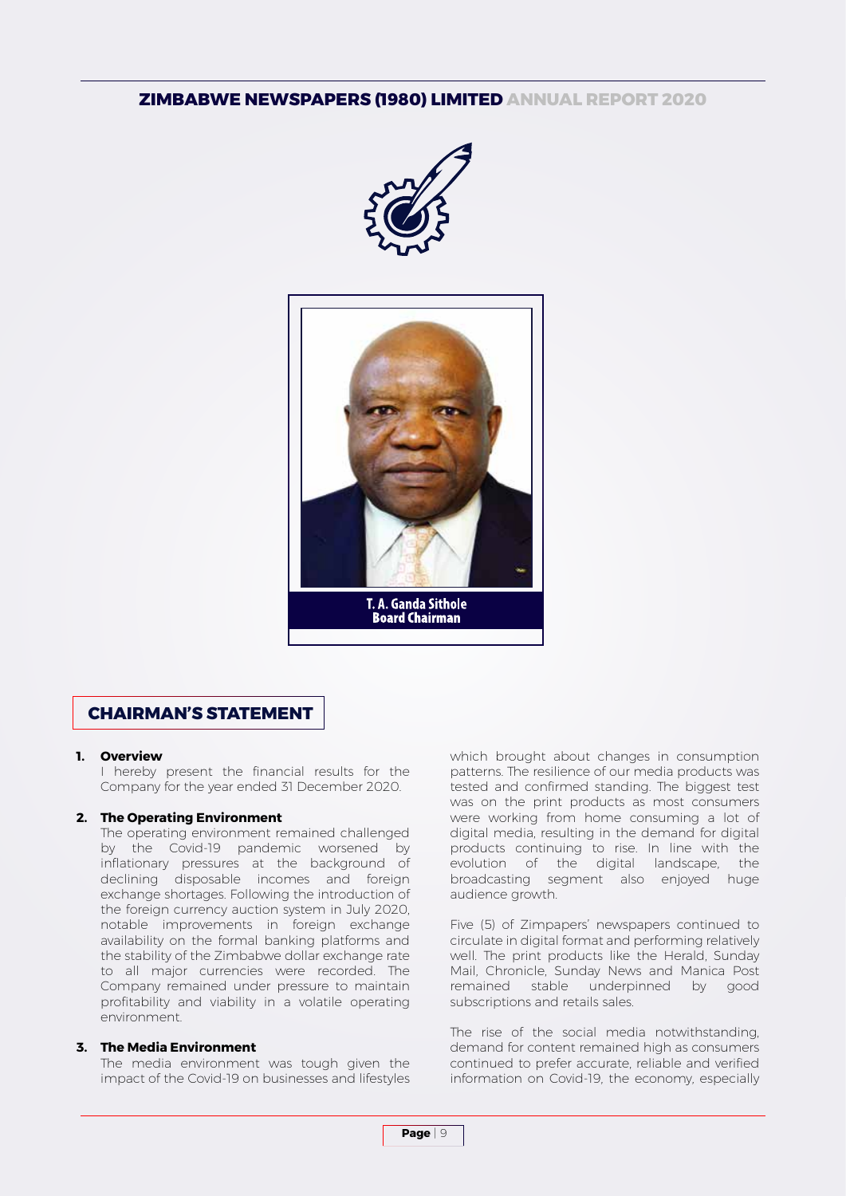# **ZIMBABWE NEWSPAPERS (1980) LIMITED ANNUAL REPORT 2020**





# **CHAIRMAN'S STATEMENT**

## **1. Overview**

 I hereby present the financial results for the Company for the year ended 31 December 2020.

## **2. The Operating Environment**

 The operating environment remained challenged by the Covid-19 pandemic worsened by inflationary pressures at the background of declining disposable incomes and foreign exchange shortages. Following the introduction of the foreign currency auction system in July 2020, notable improvements in foreign exchange availability on the formal banking platforms and the stability of the Zimbabwe dollar exchange rate to all major currencies were recorded. The Company remained under pressure to maintain profitability and viability in a volatile operating environment.

## **3. The Media Environment**

 The media environment was tough given the impact of the Covid-19 on businesses and lifestyles which brought about changes in consumption patterns. The resilience of our media products was tested and confirmed standing. The biggest test was on the print products as most consumers were working from home consuming a lot of digital media, resulting in the demand for digital products continuing to rise. In line with the evolution of the digital landscape, the broadcasting segment also enjoyed huge audience growth.

 Five (5) of Zimpapers' newspapers continued to circulate in digital format and performing relatively well. The print products like the Herald, Sunday Mail, Chronicle, Sunday News and Manica Post remained stable underpinned by good subscriptions and retails sales.

 The rise of the social media notwithstanding, demand for content remained high as consumers continued to prefer accurate, reliable and verified information on Covid-19, the economy, especially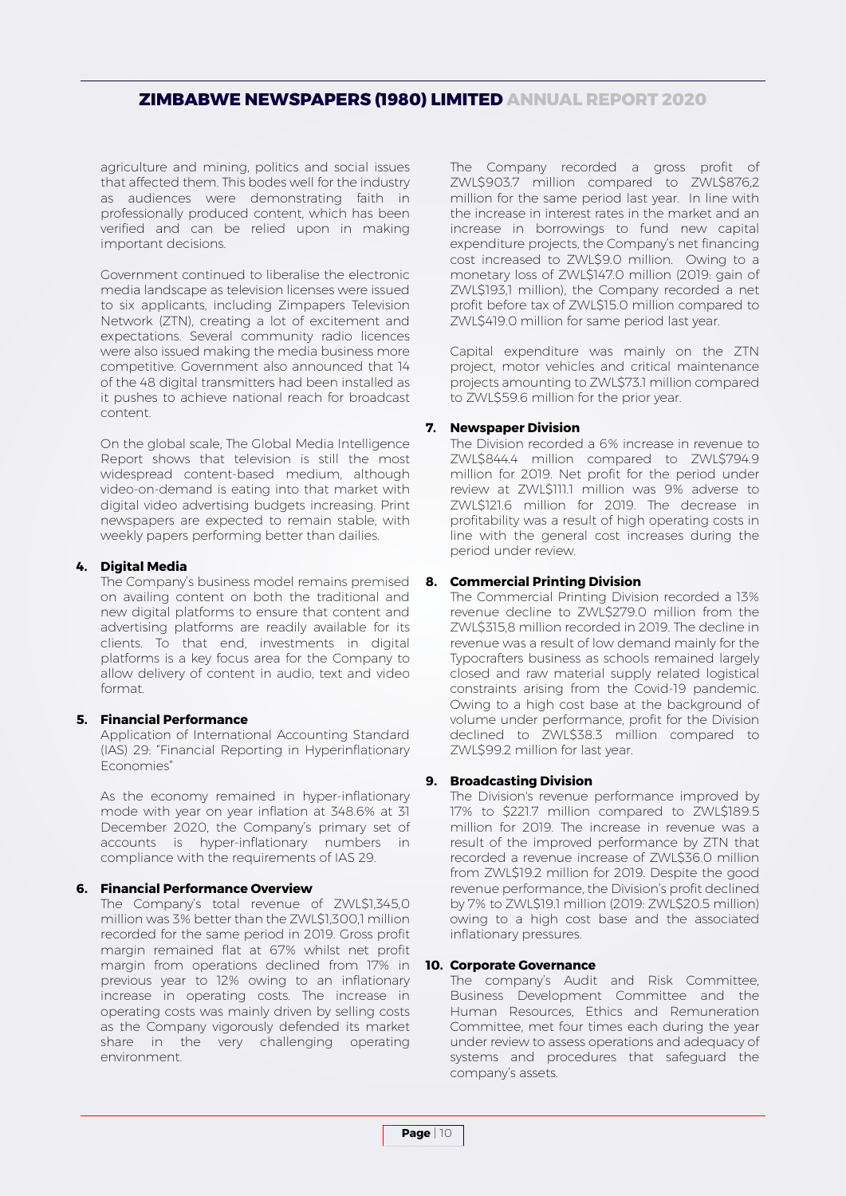# **ZIMBABWE NEWSPAPERS (1980) LIMITED ANNUAL REPORT 2020**

agriculture and mining, politics and social issues that affected them. This bodes well for the industry as audiences were demonstrating faith in professionally produced content, which has been verified and can be relied upon in making important decisions.

 Government continued to liberalise the electronic media landscape as television licenses were issued to six applicants, including Zimpapers Television Network (ZTN), creating a lot of excitement and expectations. Several community radio licences were also issued making the media business more competitive. Government also announced that 14 of the 48 digital transmitters had been installed as it pushes to achieve national reach for broadcast content.

 On the global scale, The Global Media Intelligence Report shows that television is still the most widespread content-based medium, although video-on-demand is eating into that market with digital video advertising budgets increasing. Print newspapers are expected to remain stable, with weekly papers performing better than dailies.

## **4. Digital Media**

 The Company's business model remains premised on availing content on both the traditional and new digital platforms to ensure that content and advertising platforms are readily available for its clients. To that end, investments in digital platforms is a key focus area for the Company to allow delivery of content in audio, text and video format.

# **5. Financial Performance**

 Application of International Accounting Standard (IAS) 29: "Financial Reporting in Hyperinflationary Economies"

 As the economy remained in hyper-inflationary mode with year on year inflation at 348.6% at 31 December 2020, the Company's primary set of accounts is hyper-inflationary numbers in compliance with the requirements of IAS 29.

## **6. Financial Performance Overview**

 The Company's total revenue of ZWL\$1,345,0 million was 3% better than the ZWL\$1,300,1 million recorded for the same period in 2019. Gross profit margin remained flat at 67% whilst net profit margin from operations declined from 17% in previous year to 12% owing to an inflationary increase in operating costs. The increase in operating costs was mainly driven by selling costs as the Company vigorously defended its market share in the very challenging operating environment.

 The Company recorded a gross profit of ZWL\$903.7 million compared to ZWL\$876,2 million for the same period last year. In line with the increase in interest rates in the market and an increase in borrowings to fund new capital expenditure projects, the Company's net financing cost increased to ZWL\$9.0 million. Owing to a monetary loss of ZWL\$147.0 million (2019: gain of ZWL\$193,1 million), the Company recorded a net profit before tax of ZWL\$15.0 million compared to ZWL\$419.0 million for same period last year.

 Capital expenditure was mainly on the ZTN project, motor vehicles and critical maintenance projects amounting to ZWL\$73.1 million compared to ZWL\$59.6 million for the prior year.

# **7. Newspaper Division**

 The Division recorded a 6% increase in revenue to ZWL\$844.4 million compared to ZWL\$794.9 million for 2019. Net profit for the period under review at ZWL\$111.1 million was 9% adverse to ZWL\$121.6 million for 2019. The decrease in profitability was a result of high operating costs in line with the general cost increases during the period under review.

# **8. Commercial Printing Division**

 The Commercial Printing Division recorded a 13% revenue decline to ZWL\$279.0 million from the ZWL\$315,8 million recorded in 2019. The decline in revenue was a result of low demand mainly for the Typocrafters business as schools remained largely closed and raw material supply related logistical constraints arising from the Covid-19 pandemic. Owing to a high cost base at the background of volume under performance, profit for the Division declined to ZWL\$38.3 million compared to ZWL\$99.2 million for last year.

# **9. Broadcasting Division**

 The Division's revenue performance improved by 17% to \$221.7 million compared to ZWL\$189.5 million for 2019. The increase in revenue was a result of the improved performance by ZTN that recorded a revenue increase of ZWL\$36.0 million from ZWL\$19.2 million for 2019. Despite the good revenue performance, the Division's profit declined by 7% to ZWL\$19.1 million (2019: ZWL\$20.5 million) owing to a high cost base and the associated inflationary pressures.

## **10. Corporate Governance**

 The company's Audit and Risk Committee, Business Development Committee and the Human Resources, Ethics and Remuneration Committee, met four times each during the year under review to assess operations and adequacy of systems and procedures that safeguard the company's assets.